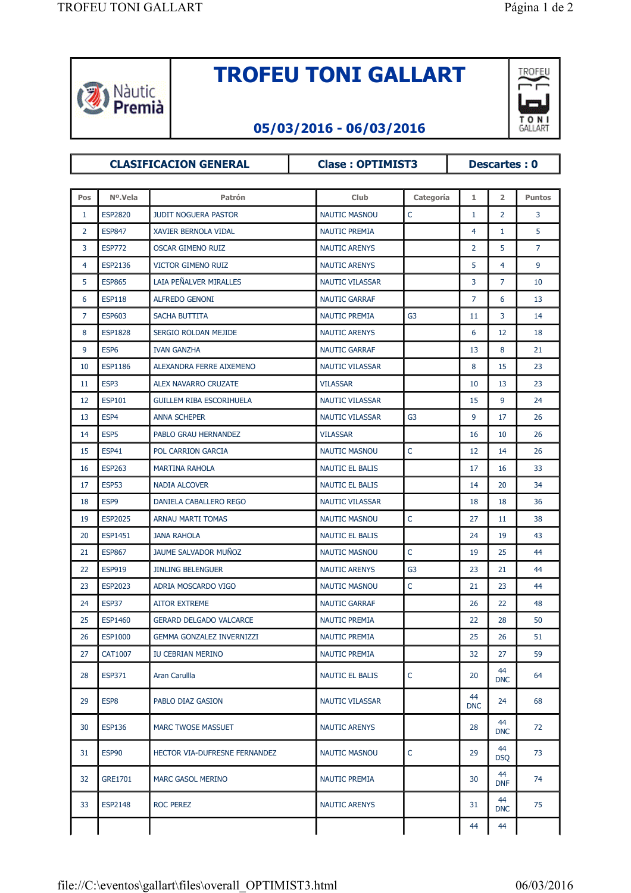

## **TROFEU TONI GALLART**



## **05/03/2016 - 06/03/2016**

**CLASIFICACION GENERAL Clase : OPTIMIST3 Descartes : 0**

## **Pos Nº.Vela Patrón Club Categoría 1 2 Puntos** 1 ESP2820 JUDIT NOGUERA PASTOR NAUTIC MASNOU C 1 2 3 2 ESP847 XAVIER BERNOLA VIDAL NAUTIC PREMIA NAUTIC PREMIA NAUTIC PREMIA 3 ESP772 OSCAR GIMENO RUIZ NAUTIC ARENYS 2 5 7 4 ESP2136 VICTOR GIMENO RUIZ NAUTIC ARENYS NAUTIC ARENYS NAUTIC ARENYS 5 ESP865 LAIA PEÑALVER MIRALLES NAUTIC VILASSAR NAUTIC VILASSAR NAUTIC VILASSAR NAUTIC VILASSAR NAUTIC VILASSAR 6 ESP118 ALFREDO GENONI NAUTIC GARRAF 7 6 13 7 ESP603 SACHA BUTTITA NAUTIC PREMIA G3 11 3 14 8 ESP1828 SERGIO ROLDAN MEJIDE NAUTIC ARENYS NEWS 12 18 9 ESP6 IVAN GANZHA NAUTIC GARRAF I 13 8 21 10 ESP1186 ALEXANDRA FERRE AIXEMENO NAUTIC VILASSAR 8 16 15 23 11 ESP3 ALEX NAVARRO CRUZATE VILASSAR 10 10 13 23 12 ESP101 GUILLEM RIBA ESCORIHUELA NAUTIC VILASSAR 1 15 9 24 13 ESP4 ANNA SCHEPER NAUTIC VILASSAR G3 9 17 26 14 ESP5 PABLO GRAU HERNANDEZ VILASSAR 16 10 26 15 ESP41 POL CARRION GARCIA NAUTIC MASNOU C 12 14 26 16 ESP263 MARTINA RAHOLA NAUTIC EL BALIS 17 16 33 17 ESP53 NADIA ALCOVER NAUTIC EL BALIS NAUTIC EL BALIS NAUTIC EL BALIS NAUTIC EL BALIS NAUTIC EL BALIS NAUTIC 18 ESP9 DANIELA CABALLERO REGO NAUTIC VILASSAR NAUTIC VILASSAR NAUTIC VILASSAR NAUTIC VILASSAR NAUTIC VILASSAR 19 ESP2025 ARNAU MARTI TOMAS NAUTIC MASNOU C 27 11 38 20 ESP1451 JANA RAHOLA NAUTIC EL BALIS NAUTIC EL BALIS 24 19 43 21 ESP867 JAUME SALVADOR MUÑOZ NAUTIC MASNOU C 19 25 44 22 ESP919 JINLING BELENGUER NAUTIC ARENYS G3 23 21 44 23 ESP2023 ADRIA MOSCARDO VIGO NAUTIC MASNOU C 21 23 44 24 ESP37 | AITOR EXTREME NAUTIC GARRAF | 26 | 22 | 48 25 ESP1460 GERARD DELGADO VALCARCE NAUTIC PREMIA 26 ESP1000 GEMMA GONZALEZ INVERNIZZI NAUTIC PREMIA | 25 26 51 27 CAT1007 IU CEBRIAN MERINO NAUTIC PREMIA 32 32 27 59 28 ESP371 Aran Carullla 1988 Aran Carulla 1989 And Louis Communic EL BALIS Communic Communic Communic Communic Communic Communic Communic Communic Communic Communic Communic Communic Communic Communic Communic Communicatio  $\frac{44}{\text{DNC}}$  64 29 ESP8 PABLO DIAZ GASION NAUTIC VILASSAR NAUTIC VILASSAR  $\frac{44}{\text{DNC}}$  24 68 30 ESP136 MARC TWOSE MASSUET NAUTIC ARENYS 28 28  $\frac{44}{\text{DNC}}$  72

31 ESP90 HECTOR VIA-DUFRESNE FERNANDEZ NAUTIC MASNOU C 29 AG

32 GRE1701 MARC GASOL MERINO NAUTIC PREMIA 30 30 44

<sup>33</sup> ESP2148 ROC PEREZ NAUTIC ARENYS <sup>31</sup> <sup>44</sup>

 $\overline{DSO}$  73

 $DNF$  74

 $\frac{44}{\text{DNC}}$  75

44 44